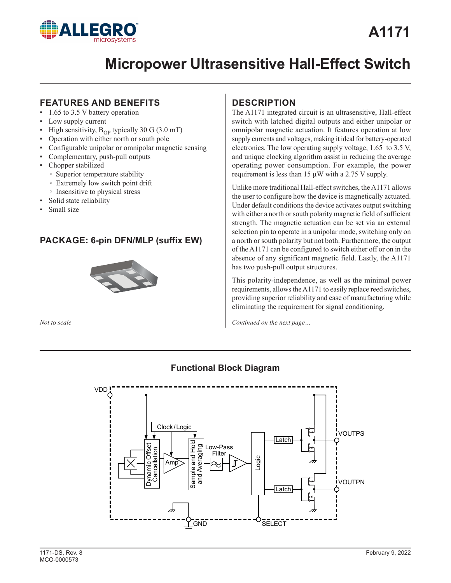

# **FEATURES AND BENEFITS**

- 1.65 to 3.5 V battery operation
- Low supply current
- High sensitivity,  $B_{OP}$  typically 30 G (3.0 mT)
- Operation with either north or south pole
- Configurable unipolar or omnipolar magnetic sensing
- Complementary, push-pull outputs
- Chopper stabilized
	- Superior temperature stability
	- Extremely low switch point drift
	- Insensitive to physical stress
- Solid state reliability
- Small size

# **PACKAGE: 6-pin DFN/MLP (suffix EW)**



*Not to scale*

# **DESCRIPTION**

The A1171 integrated circuit is an ultrasensitive, Hall-effect switch with latched digital outputs and either unipolar or omnipolar magnetic actuation. It features operation at low supply currents and voltages, making it ideal for battery-operated electronics. The low operating supply voltage, 1.65 to 3.5 V, and unique clocking algorithm assist in reducing the average operating power consumption. For example, the power requirement is less than 15 μW with a 2.75 V supply.

Unlike more traditional Hall-effect switches, the A1171 allows the user to configure how the device is magnetically actuated. Under default conditions the device activates output switching with either a north or south polarity magnetic field of sufficient strength. The magnetic actuation can be set via an external selection pin to operate in a unipolar mode, switching only on a north or south polarity but not both. Furthermore, the output of the A1171 can be configured to switch either off or on in the absence of any significant magnetic field. Lastly, the A1171 has two push-pull output structures.

This polarity-independence, as well as the minimal power requirements, allows the A1171 to easily replace reed switches, providing superior reliability and ease of manufacturing while eliminating the requirement for signal conditioning.

*Continued on the next page…*



# **Functional Block Diagram**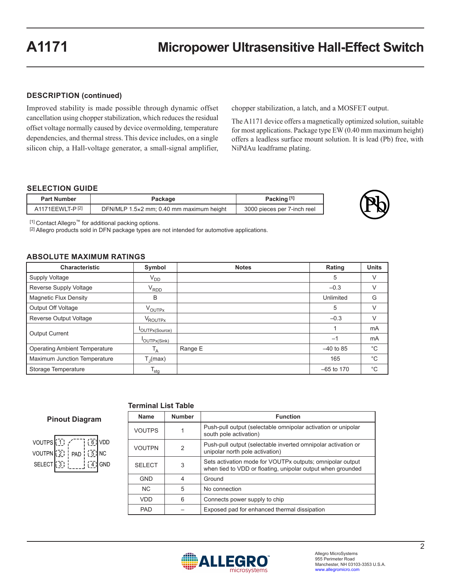## **DESCRIPTION (continued)**

Improved stability is made possible through dynamic offset cancellation using chopper stabilization, which reduces the residual offset voltage normally caused by device overmolding, temperature dependencies, and thermal stress. This device includes, on a single silicon chip, a Hall-voltage generator, a small-signal amplifier, chopper stabilization, a latch, and a MOSFET output.

The A1171 device offers a magnetically optimized solution, suitable for most applications. Package type EW (0.40 mm maximum height) offers a leadless surface mount solution. It is lead (Pb) free, with NiPdAu leadframe plating.

### **SELECTION GUIDE**

| <b>Part Number</b> | Package                                  | Packing <sup>[1]</sup>      |
|--------------------|------------------------------------------|-----------------------------|
| A1171EEWLT-P[2]    | DFN/MLP 1.5×2 mm; 0.40 mm maximum height | 3000 pieces per 7-inch reel |



[1] Contact Allegro™ for additional packing options.

<sup>[2]</sup> Allegro products sold in DFN package types are not intended for automotive applications.

### **ABSOLUTE MAXIMUM RATINGS**

| <b>Characteristic</b>                | Symbol                     | <b>Notes</b> | Rating       | <b>Units</b> |
|--------------------------------------|----------------------------|--------------|--------------|--------------|
| Supply Voltage                       | $V_{DD}$                   |              | 5            | V            |
| Reverse Supply Voltage               | V <sub>RDD</sub>           |              | $-0.3$       | V            |
| <b>Magnetic Flux Density</b>         | B                          |              | Unlimited    | G            |
| Output Off Voltage                   | $\rm V_{\rm OUTPx}$        |              | 5            | V            |
| Reverse Output Voltage               | V <sub>ROUTPx</sub>        |              | $-0.3$       | V            |
| <b>Output Current</b>                | <sup>I</sup> OUTPx(Source) |              |              | mA           |
|                                      | <b>I</b> OUTPx(Sink)       |              | $-1$         | mA           |
| <b>Operating Ambient Temperature</b> | $T_A$                      | Range E      | $-40$ to 85  | $^{\circ}$ C |
| Maximum Junction Temperature         | $T_{\parallel}$ (max)      |              | 165          | $^{\circ}C$  |
| <b>Storage Temperature</b>           | $T_{\text{stg}}$           |              | $-65$ to 170 | $^{\circ}$ C |

#### **Terminal List Table**

#### **Pinout Diagram**

| VOUTPS (1) /                                                       |  | $\left  \left( \frac{1}{6} \right) \right $ VDD |  |
|--------------------------------------------------------------------|--|-------------------------------------------------|--|
| VOUTPN $(2$ PAD $(5)$ NC                                           |  |                                                 |  |
| SELECT $\left(\overline{3}\right)$ $\left(\overline{4}\right)$ GND |  |                                                 |  |

| <b>Name</b>   | <b>Number</b>  | <b>Function</b>                                                                                                          |
|---------------|----------------|--------------------------------------------------------------------------------------------------------------------------|
| <b>VOUTPS</b> |                | Push-pull output (selectable omnipolar activation or unipolar<br>south pole activation)                                  |
| <b>VOUTPN</b> | $\mathfrak{p}$ | Push-pull output (selectable inverted omnipolar activation or<br>unipolar north pole activation)                         |
| <b>SELECT</b> | 3              | Sets activation mode for VOUTPx outputs; omnipolar output<br>when tied to VDD or floating, unipolar output when grounded |
| <b>GND</b>    | 4              | Ground                                                                                                                   |
| NC.           | 5              | No connection                                                                                                            |
| <b>VDD</b>    | 6              | Connects power supply to chip                                                                                            |
| <b>PAD</b>    |                | Exposed pad for enhanced thermal dissipation                                                                             |

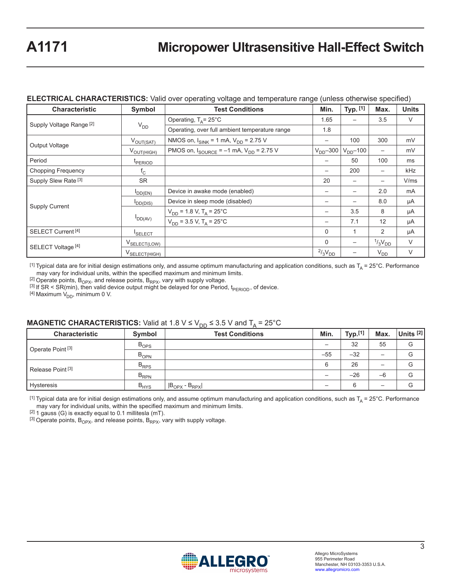## **ELECTRICAL CHARACTERISTICS:** Valid over operating voltage and temperature range (unless otherwise specified)

| <b>Characteristic</b>               | Symbol                    | <b>Test Conditions</b>                                         |                          | Typ. [1]                 | Max.                | <b>Units</b> |
|-------------------------------------|---------------------------|----------------------------------------------------------------|--------------------------|--------------------------|---------------------|--------------|
|                                     |                           | Operating, $T_A = 25^{\circ}$ C                                | 1.65                     | $\overline{\phantom{0}}$ | 3.5                 | $\vee$       |
| Supply Voltage Range <sup>[2]</sup> | $V_{DD}$                  | Operating, over full ambient temperature range                 | 1.8                      |                          |                     |              |
| Output Voltage                      | $V_{\text{OUT(SAT)}}$     | NMOS on, $I_{SINK} = 1$ mA, $V_{DD} = 2.75$ V                  |                          | 100                      | 300                 | mV           |
|                                     | V <sub>OUT(HIGH)</sub>    | PMOS on, $I_{\text{SOLRCE}} = -1$ mA, $V_{\text{DD}} = 2.75$ V | $V_{DD}$ -300            | $V_{DD}$ -100            |                     | mV           |
| Period                              | t <sub>PERIOD</sub>       |                                                                |                          | 50                       | 100                 | ms           |
| <b>Chopping Frequency</b>           | $f_C$                     |                                                                |                          | 200                      |                     | <b>kHz</b>   |
| Supply Slew Rate <sup>[3]</sup>     | <b>SR</b>                 |                                                                | 20                       | $\overline{\phantom{m}}$ |                     | V/ms         |
|                                     | $I_{DD(EN)}$              | Device in awake mode (enabled)                                 | $\overline{\phantom{m}}$ | $\overline{\phantom{m}}$ | 2.0                 | mA           |
| <b>Supply Current</b>               | DD(DIS)                   | Device in sleep mode (disabled)                                | $\qquad \qquad$          | $\overline{\phantom{0}}$ | 8.0                 | μA           |
|                                     |                           | $V_{DD}$ = 1.8 V, T <sub>A</sub> = 25°C                        | $\qquad \qquad$          | 3.5                      | 8                   | μA           |
|                                     | $I_{DD(AV)}$              | $V_{DD}$ = 3.5 V, T <sub>A</sub> = 25°C                        | $\overline{\phantom{m}}$ | 7.1                      | 12                  | μA           |
| SELECT Current <sup>[4]</sup>       | <b>ISELECT</b>            |                                                                | $\Omega$                 | 1                        | 2                   | μA           |
| SELECT Voltage [4]                  | V <sub>SELECT(LOW)</sub>  |                                                                | 0                        | $\overline{\phantom{m}}$ | $\frac{1}{3}V_{DD}$ | V            |
|                                     | V <sub>SELECT(HIGH)</sub> |                                                                | $^{2}/_{3}V_{DD}$        | $\qquad \qquad -$        | $V_{DD}$            | $\vee$       |

<sup>[1]</sup> Typical data are for initial design estimations only, and assume optimum manufacturing and application conditions, such as  $T_A$  = 25°C. Performance may vary for individual units, within the specified maximum and minimum limits.

 $^{[2]}$  Operate points,  $B_{OPX}$ , and release points,  $B_{RPX}$ , vary with supply voltage.

[3] If SR < SR(min), then valid device output might be delayed for one Period,  $t_{PERIOD}$ , of device.

 $[4]$  Maximum  $V_{DD}$ , minimum 0 V.

## **MAGNETIC CHARACTERISTICS:** Valid at 1.8 V  $\leq$  V<sub>DD</sub>  $\leq$  3.5 V and T<sub>A</sub> = 25°C

| <b>Characteristic</b>        | Symbol    | <b>Test Conditions</b> | Min.  | Typ. <sup>[1]</sup> | Max. | Units $[2]$ |
|------------------------------|-----------|------------------------|-------|---------------------|------|-------------|
| Operate Point <sup>[3]</sup> | $B_{OPS}$ |                        |       | 32                  | 55   | G           |
|                              | $B_{OPN}$ |                        | $-55$ | $-32$               |      | G           |
| Release Point <sup>[3]</sup> | $B_{RPS}$ |                        | 6     | 26                  |      | G           |
|                              | $B_{RPN}$ |                        |       | $-26$               | $-6$ | G           |
| Hysteresis                   | $B_{HYS}$ | $ B_{OPX} - B_{RPX} $  |       | 6                   |      | G           |

<sup>[1]</sup> Typical data are for initial design estimations only, and assume optimum manufacturing and application conditions, such as  $T_A = 25^{\circ}$ C. Performance may vary for individual units, within the specified maximum and minimum limits.

 $[2]$  1 gauss (G) is exactly equal to 0.1 millitesla (mT).

 $^{[3]}$  Operate points,  $B_{OPX}$ , and release points,  $B_{RPX}$ , vary with supply voltage.

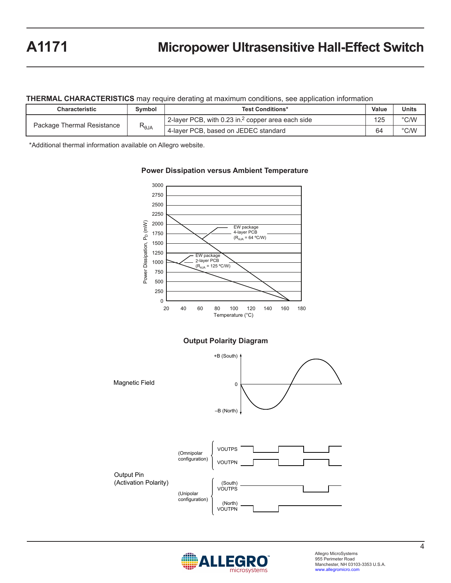## **THERMAL CHARACTERISTICS** may require derating at maximum conditions, see application information

| <b>Characteristic</b>      | Svmbol           | <b>Test Conditions*</b>                                       |     | <b>Units</b>  |
|----------------------------|------------------|---------------------------------------------------------------|-----|---------------|
| Package Thermal Resistance |                  | 2-layer PCB, with 0.23 in. <sup>2</sup> copper area each side | 125 | $\degree$ C/W |
|                            | Ale <sup>7</sup> | 4-laver PCB, based on JEDEC standard                          | 64  | °C/W          |

\*Additional thermal information available on Allegro website.



# Power Dissipation versus Ambient Temperature **Power Dissipation versus Ambient Temperature**

# **Output Polarity Diagram**



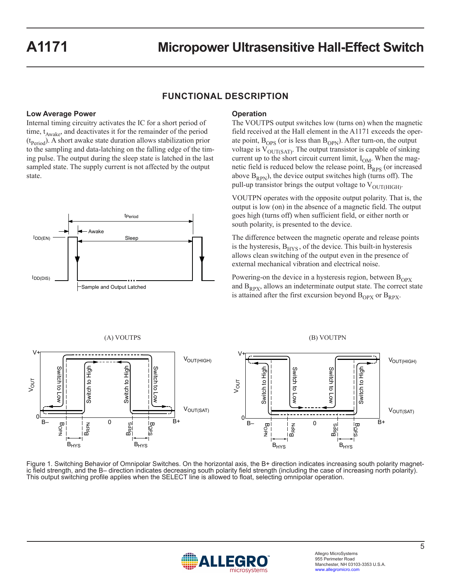# **FUNCTIONAL DESCRIPTION**

### **Low Average Power**

Internal timing circuitry activates the IC for a short period of time,  $t_{\text{Awake}}$ , and deactivates it for the remainder of the period  $(t<sub>Period</sub>)$ . A short awake state duration allows stabilization prior to the sampling and data-latching on the falling edge of the timing pulse. The output during the sleep state is latched in the last sampled state. The supply current is not affected by the output state.



#### **Operation**

The VOUTPS output switches low (turns on) when the magnetic field received at the Hall element in the A1171 exceeds the operate point,  $B_{OPS}$  (or is less than  $B_{OPN}$ ). After turn-on, the output voltage is  $V_{\text{OUT(SAT)}}$ . The output transistor is capable of sinking current up to the short circuit current limit,  $I_{OM}$ . When the magnetic field is reduced below the release point,  $B<sub>RPS</sub>$  (or increased above  $B_{RPN}$ ), the device output switches high (turns off). The pull-up transistor brings the output voltage to  $V_{\text{OUT(HIGH)}}$ .

VOUTPN operates with the opposite output polarity. That is, the output is low (on) in the absence of a magnetic field. The output goes high (turns off) when sufficient field, or either north or south polarity, is presented to the device.

The difference between the magnetic operate and release points is the hysteresis,  $B<sub>HYS</sub>$ , of the device. This built-in hysteresis allows clean switching of the output even in the presence of external mechanical vibration and electrical noise.

Powering-on the device in a hysteresis region, between  $B_{OPX}$ and  $B_{RPX}$ , allows an indeterminate output state. The correct state is attained after the first excursion beyond  $B_{OPX}$  or  $B_{RPX}$ .



Figure 1. Switching Behavior of Omnipolar Switches. On the horizontal axis, the B+ direction indicates increasing south polarity magnet-<br>ic field strength, and the B– direction indicates decreasing south polarity field str This output switching profile applies when the SELECT line is allowed to float, selecting omnipolar operation.

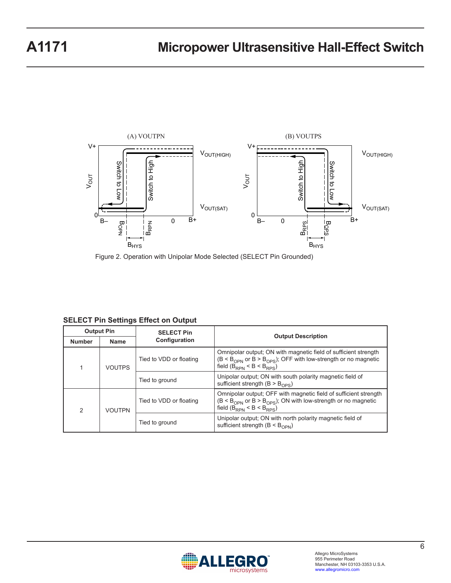



# **SELECT Pin Settings Effect on Output**

|               | <b>Output Pin</b> | <b>SELECT Pin</b>       |                                                                                                                                                                                   |
|---------------|-------------------|-------------------------|-----------------------------------------------------------------------------------------------------------------------------------------------------------------------------------|
| <b>Number</b> | <b>Name</b>       | Configuration           | <b>Output Description</b>                                                                                                                                                         |
|               | <b>VOUTPS</b>     | Tied to VDD or floating | Omnipolar output; ON with magnetic field of sufficient strength<br>$(B < BOPN$ or B > B <sub>OPS</sub> ); OFF with low-strength or no magnetic<br>field $(B_{RPN} < B < B_{RPS})$ |
|               |                   | Tied to ground          | Unipolar output; ON with south polarity magnetic field of<br>sufficient strength ( $B > BOPS$ )                                                                                   |
| 2             | <b>VOUTPN</b>     | Tied to VDD or floating | Omnipolar output; OFF with magnetic field of sufficient strength<br>$(B < BOPN$ or $B > BOPS$ ); ON with low-strength or no magnetic<br>field $(B_{RPN} < B < B_{RPS})$           |
|               |                   | Tied to ground          | Unipolar output; ON with north polarity magnetic field of<br>sufficient strength $(B < BODN)$                                                                                     |

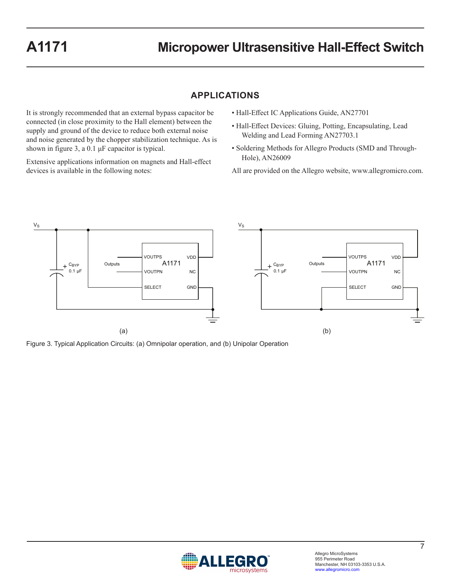# **APPLICATIONS**

It is strongly recommended that an external bypass capacitor be connected (in close proximity to the Hall element) between the supply and ground of the device to reduce both external noise and noise generated by the chopper stabilization technique. As is shown in figure 3, a 0.1 μF capacitor is typical.

Extensive applications information on magnets and Hall-effect devices is available in the following notes:

- Hall-Effect IC Applications Guide, AN27701
- Hall-Effect Devices: Gluing, Potting, Encapsulating, Lead Welding and Lead Forming AN27703.1
- Soldering Methods for Allegro Products (SMD and Through-Hole), AN26009
- All are provided on the Allegro website, www.allegromicro.com.



Figure 3. Typical Application Circuits: (a) Omnipolar operation, and (b) Unipolar Operation

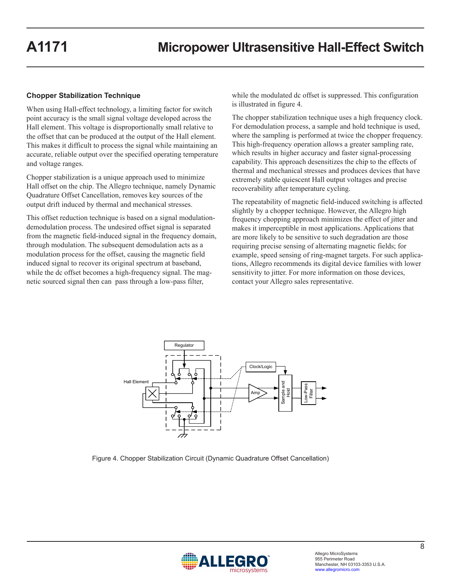## **Chopper Stabilization Technique**

When using Hall-effect technology, a limiting factor for switch point accuracy is the small signal voltage developed across the Hall element. This voltage is disproportionally small relative to the offset that can be produced at the output of the Hall element. This makes it difficult to process the signal while maintaining an accurate, reliable output over the specified operating temperature and voltage ranges.

Chopper stabilization is a unique approach used to minimize Hall offset on the chip. The Allegro technique, namely Dynamic Quadrature Offset Cancellation, removes key sources of the output drift induced by thermal and mechanical stresses.

This offset reduction technique is based on a signal modulationdemodulation process. The undesired offset signal is separated from the magnetic field-induced signal in the frequency domain, through modulation. The subsequent demodulation acts as a modulation process for the offset, causing the magnetic field induced signal to recover its original spectrum at baseband, while the dc offset becomes a high-frequency signal. The magnetic sourced signal then can pass through a low-pass filter,

while the modulated dc offset is suppressed. This configuration is illustrated in figure 4.

The chopper stabilization technique uses a high frequency clock. For demodulation process, a sample and hold technique is used, where the sampling is performed at twice the chopper frequency. This high-frequency operation allows a greater sampling rate, which results in higher accuracy and faster signal-processing capability. This approach desensitizes the chip to the effects of thermal and mechanical stresses and produces devices that have extremely stable quiescent Hall output voltages and precise recoverability after temperature cycling.

The repeatability of magnetic field-induced switching is affected slightly by a chopper technique. However, the Allegro high frequency chopping approach minimizes the effect of jitter and makes it imperceptible in most applications. Applications that are more likely to be sensitive to such degradation are those requiring precise sensing of alternating magnetic fields; for example, speed sensing of ring-magnet targets. For such applications, Allegro recommends its digital device families with lower sensitivity to jitter. For more information on those devices, contact your Allegro sales representative.



Figure 4. Chopper Stabilization Circuit (Dynamic Quadrature Offset Cancellation)

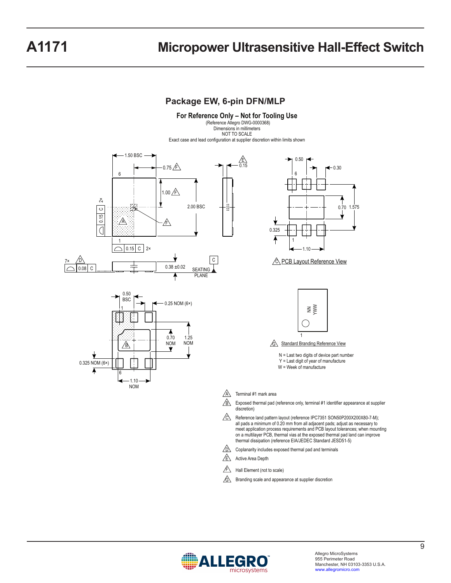# **Package EW, 6-pin DFN/MLP**